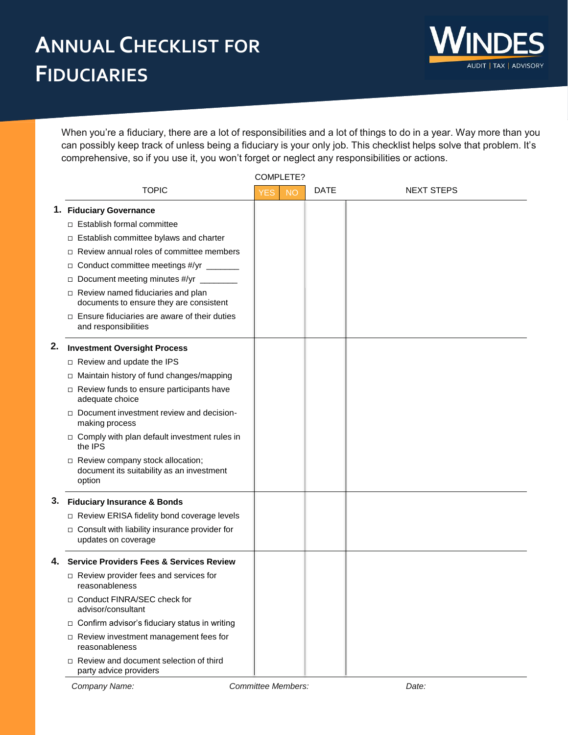

When you're a fiduciary, there are a lot of responsibilities and a lot of things to do in a year. Way more than you can possibly keep track of unless being a fiduciary is your only job. This checklist helps solve that problem. It's comprehensive, so if you use it, you won't forget or neglect any responsibilities or actions.

COMPLETE?

|    |                                                                                           | COMPLETE?               |      |                   |
|----|-------------------------------------------------------------------------------------------|-------------------------|------|-------------------|
|    | <b>TOPIC</b>                                                                              | <b>YES</b><br><b>NO</b> | DATE | <b>NEXT STEPS</b> |
|    | 1. Fiduciary Governance                                                                   |                         |      |                   |
|    | $\Box$ Establish formal committee                                                         |                         |      |                   |
|    | $\Box$ Establish committee bylaws and charter                                             |                         |      |                   |
|    | Review annual roles of committee members<br>$\Box$                                        |                         |      |                   |
|    | Conduct committee meetings #/yr _______<br>$\Box$                                         |                         |      |                   |
|    | Document meeting minutes #/yr<br>$\Box$                                                   |                         |      |                   |
|    | $\Box$ Review named fiduciaries and plan<br>documents to ensure they are consistent       |                         |      |                   |
|    | $\Box$ Ensure fiduciaries are aware of their duties<br>and responsibilities               |                         |      |                   |
| 2. | <b>Investment Oversight Process</b>                                                       |                         |      |                   |
|    | □ Review and update the IPS                                                               |                         |      |                   |
|    | □ Maintain history of fund changes/mapping                                                |                         |      |                   |
|    | $\Box$ Review funds to ensure participants have<br>adequate choice                        |                         |      |                   |
|    | Document investment review and decision-<br>making process                                |                         |      |                   |
|    | $\Box$ Comply with plan default investment rules in<br>the IPS                            |                         |      |                   |
|    | □ Review company stock allocation;<br>document its suitability as an investment<br>option |                         |      |                   |
| З. | <b>Fiduciary Insurance &amp; Bonds</b>                                                    |                         |      |                   |
|    | □ Review ERISA fidelity bond coverage levels                                              |                         |      |                   |
|    | $\Box$ Consult with liability insurance provider for<br>updates on coverage               |                         |      |                   |
| 4. | <b>Service Providers Fees &amp; Services Review</b>                                       |                         |      |                   |
|    | $\Box$ Review provider fees and services for<br>reasonableness                            |                         |      |                   |
|    | □ Conduct FINRA/SEC check for<br>advisor/consultant                                       |                         |      |                   |
|    | □ Confirm advisor's fiduciary status in writing                                           |                         |      |                   |
|    | $\Box$ Review investment management fees for<br>reasonableness                            |                         |      |                   |
|    | $\Box$ Review and document selection of third<br>party advice providers                   |                         |      |                   |